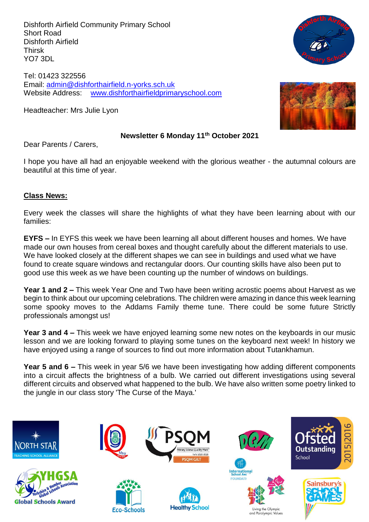Dishforth Airfield Community Primary School Short Road Dishforth Airfield Thirsk YO7 3DL

Tel: 01423 322556 Email: [admin@dishforthairfield.n-yorks.sch.uk](mailto:admin@dishforthairfield.n-yorks.sch.uk) Website Address: [www.dishforthairfieldprimaryschool.com](http://www.dishforthairfieldprimaryschool.com/)

Headteacher: Mrs Julie Lyon

### **Newsletter 6 Monday 11th October 2021**

Dear Parents / Carers,

I hope you have all had an enjoyable weekend with the glorious weather - the autumnal colours are beautiful at this time of year.

## **Class News:**

Every week the classes will share the highlights of what they have been learning about with our families:

**EYFS –** In EYFS this week we have been learning all about different houses and homes. We have made our own houses from cereal boxes and thought carefully about the different materials to use. We have looked closely at the different shapes we can see in buildings and used what we have found to create square windows and rectangular doors. Our counting skills have also been put to good use this week as we have been counting up the number of windows on buildings.

**Year 1 and 2 –** This week Year One and Two have been writing acrostic poems about Harvest as we begin to think about our upcoming celebrations. The children were amazing in dance this week learning some spooky moves to the Addams Family theme tune. There could be some future Strictly professionals amongst us!

**Year 3 and 4 –** This week we have enjoyed learning some new notes on the keyboards in our music lesson and we are looking forward to playing some tunes on the keyboard next week! In history we have enjoyed using a range of sources to find out more information about Tutankhamun.

**Year 5 and 6 –** This week in year 5/6 we have been investigating how adding different components into a circuit affects the brightness of a bulb. We carried out different investigations using several different circuits and observed what happened to the bulb. We have also written some poetry linked to the jungle in our class story 'The Curse of the Maya.'



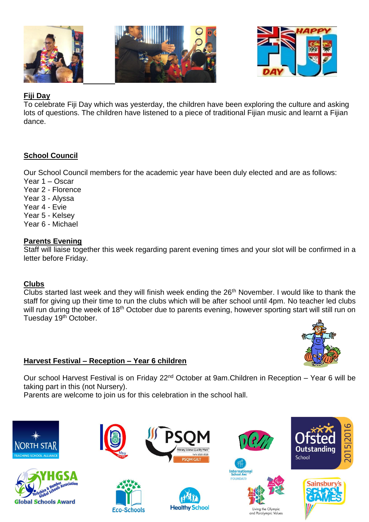



## **Fiji Day**

To celebrate Fiji Day which was yesterday, the children have been exploring the culture and asking lots of questions. The children have listened to a piece of traditional Fijian music and learnt a Fijian dance.

## **School Council**

Our School Council members for the academic year have been duly elected and are as follows:

Year 1 – Oscar Year 2 - Florence Year 3 - Alyssa Year 4 - Evie Year 5 - Kelsey Year 6 - Michael

## **Parents Evening**

Staff will liaise together this week regarding parent evening times and your slot will be confirmed in a letter before Friday.

## **Clubs**

Clubs started last week and they will finish week ending the 26<sup>th</sup> November. I would like to thank the staff for giving up their time to run the clubs which will be after school until 4pm. No teacher led clubs will run during the week of 18<sup>th</sup> October due to parents evening, however sporting start will still run on Tuesday 19<sup>th</sup> October.



# **Harvest Festival – Reception – Year 6 children**

Our school Harvest Festival is on Friday 22<sup>nd</sup> October at 9am.Children in Reception – Year 6 will be taking part in this (not Nursery).

Parents are welcome to join us for this celebration in the school hall.













Living the Olympic

and Paralympic Values

International<br>School Award



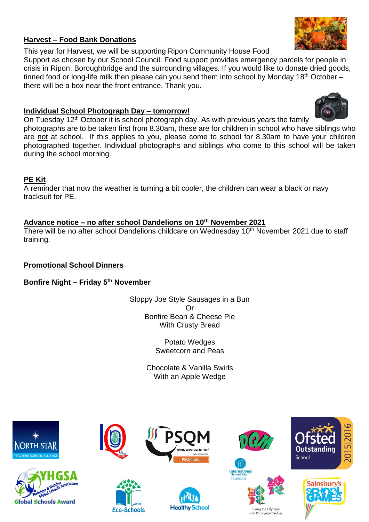## **Harvest – Food Bank Donations**

This year for Harvest, we will be supporting Ripon Community House Food

Support as chosen by our School Council. Food support provides emergency parcels for people in crisis in Ripon, Boroughbridge and the surrounding villages. If you would like to donate dried goods, tinned food or long-life milk then please can you send them into school by Monday 18<sup>th</sup> October there will be a box near the front entrance. Thank you.

## **Individual School Photograph Day – tomorrow!**

On Tuesday 12<sup>th</sup> October it is school photograph day. As with previous years the family

photographs are to be taken first from 8.30am, these are for children in school who have siblings who are not at school. If this applies to you, please come to school for 8.30am to have your children photographed together. Individual photographs and siblings who come to this school will be taken during the school morning.

# **PE Kit**

A reminder that now the weather is turning a bit cooler, the children can wear a black or navy tracksuit for PE.

# **Advance notice – no after school Dandelions on 10 th November 2021**

There will be no after school Dandelions childcare on Wednesday 10<sup>th</sup> November 2021 due to staff training.

# **Promotional School Dinners**

# **Bonfire Night – Friday 5th November**

Sloppy Joe Style Sausages in a Bun Or Bonfire Bean & Cheese Pie With Crusty Bread

> Potato Wedges Sweetcorn and Peas

Chocolate & Vanilla Swirls With an Apple Wedge







**Eco-Schools** 









and Paralympic Values







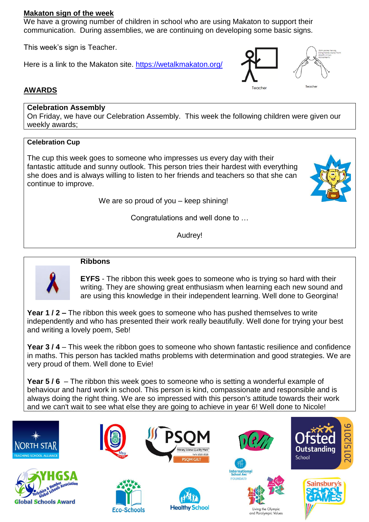## **Makaton sign of the week**

We have a growing number of children in school who are using Makaton to support their communication. During assemblies, we are continuing on developing some basic signs.

This week's sign is Teacher.

Here is a link to the Makaton site.<https://wetalkmakaton.org/>





# **AWARDS**

## **Celebration Assembly**

On Friday, we have our Celebration Assembly. This week the following children were given our weekly awards;

#### **Celebration Cup**

The cup this week goes to someone who impresses us every day with their fantastic attitude and sunny outlook. This person tries their hardest with everything she does and is always willing to listen to her friends and teachers so that she can continue to improve.

We are so proud of you – keep shining!

Congratulations and well done to …

Audrey!



#### **Ribbons**

**EYFS** - The ribbon this week goes to someone who is trying so hard with their writing. They are showing great enthusiasm when learning each new sound and are using this knowledge in their independent learning. Well done to Georgina!

**Year 1 / 2 –** The ribbon this week goes to someone who has pushed themselves to write independently and who has presented their work really beautifully. Well done for trying your best and writing a lovely poem, Seb!

**Year 3 / 4** – This week the ribbon goes to someone who shown fantastic resilience and confidence in maths. This person has tackled maths problems with determination and good strategies. We are very proud of them. Well done to Evie!

**Year 5 / 6** – The ribbon this week goes to someone who is setting a wonderful example of behaviour and hard work in school. This person is kind, compassionate and responsible and is always doing the right thing. We are so impressed with this person's attitude towards their work and we can't wait to see what else they are going to achieve in year 6! Well done to Nicole!

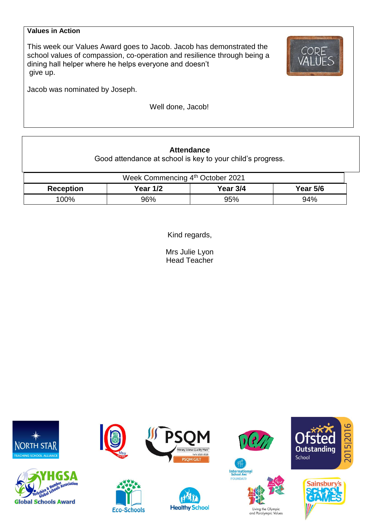#### **Values in Action**

This week our Values Award goes to Jacob. Jacob has demonstrated the school values of compassion, co-operation and resilience through being a dining hall helper where he helps everyone and doesn't give up.

Jacob was nominated by Joseph.

Well done, Jacob!

| <b>Attendance</b><br>Good attendance at school is key to your child's progress. |                 |          |                 |  |  |  |
|---------------------------------------------------------------------------------|-----------------|----------|-----------------|--|--|--|
| Week Commencing 4th October 2021                                                |                 |          |                 |  |  |  |
| <b>Reception</b>                                                                | <b>Year 1/2</b> | Year 3/4 | <b>Year 5/6</b> |  |  |  |
| 100%                                                                            | 96%             | 95%      | 94%             |  |  |  |

Kind regards,

Mrs Julie Lyon Head Teacher